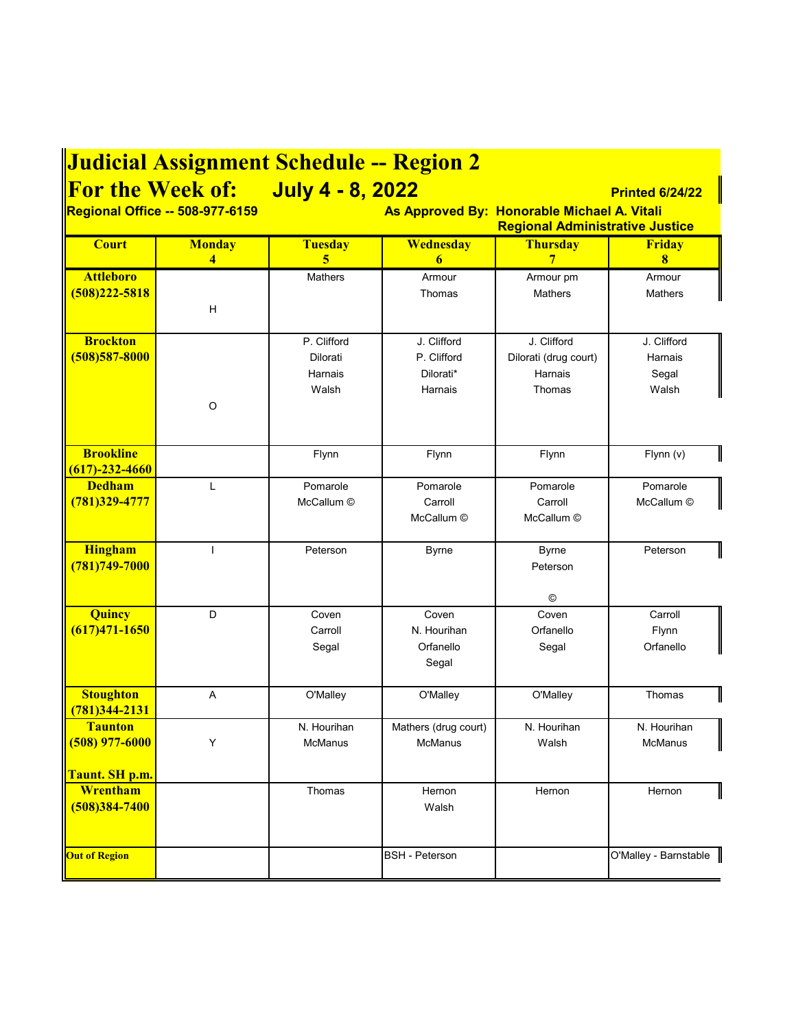| <b>Judicial Assignment Schedule -- Region 2</b>                                |                                   |                                        |                          |                       |                        |  |  |
|--------------------------------------------------------------------------------|-----------------------------------|----------------------------------------|--------------------------|-----------------------|------------------------|--|--|
|                                                                                | For the Week of: July 4 - 8, 2022 |                                        |                          |                       | <b>Printed 6/24/22</b> |  |  |
| Regional Office -- 508-977-6159<br>As Approved By: Honorable Michael A. Vitali |                                   |                                        |                          |                       |                        |  |  |
|                                                                                |                                   | <b>Regional Administrative Justice</b> |                          |                       |                        |  |  |
| <b>Court</b>                                                                   | <b>Monday</b><br>4                | <b>Tuesday</b><br>5                    | Wednesday<br>6           | <b>Thursday</b><br>7  | <b>Friday</b><br>8     |  |  |
| <b>Attleboro</b>                                                               |                                   | <b>Mathers</b>                         | Armour                   | Armour pm             | Armour                 |  |  |
| $(508)222 - 5818$                                                              |                                   |                                        | Thomas                   | <b>Mathers</b>        | <b>Mathers</b>         |  |  |
|                                                                                | Н                                 |                                        |                          |                       |                        |  |  |
| <b>Brockton</b>                                                                |                                   | P. Clifford                            | J. Clifford              | J. Clifford           | J. Clifford            |  |  |
| $(508)$ 587-8000                                                               |                                   | Dilorati                               | P. Clifford              | Dilorati (drug court) | Harnais                |  |  |
|                                                                                |                                   | Harnais                                | Dilorati*                | Harnais               | Segal                  |  |  |
|                                                                                |                                   | Walsh                                  | Harnais                  | Thomas                | Walsh                  |  |  |
|                                                                                | $\circ$                           |                                        |                          |                       |                        |  |  |
|                                                                                |                                   |                                        |                          |                       |                        |  |  |
| <b>Brookline</b>                                                               |                                   | Flynn                                  | Flynn                    | Flynn                 | Flynn (v)              |  |  |
| $(617) - 232 - 4660$                                                           |                                   |                                        |                          |                       |                        |  |  |
| <b>Dedham</b>                                                                  | L                                 | Pomarole                               | Pomarole                 | Pomarole              | Pomarole               |  |  |
| $(781)329 - 4777$                                                              |                                   | McCallum ©                             | Carroll<br>McCallum ©    | Carroll<br>McCallum © | McCallum ©             |  |  |
|                                                                                |                                   |                                        |                          |                       |                        |  |  |
| <b>Hingham</b>                                                                 |                                   | Peterson                               | <b>Byrne</b>             | <b>Byrne</b>          | Peterson               |  |  |
| (781) 749-7000                                                                 |                                   |                                        |                          | Peterson              |                        |  |  |
|                                                                                |                                   |                                        |                          |                       |                        |  |  |
|                                                                                |                                   |                                        |                          | ©                     |                        |  |  |
| Quincy<br>$(617)471 - 1650$                                                    | D                                 | Coven                                  | Coven                    | Coven                 | Carroll                |  |  |
|                                                                                |                                   | Carroll<br>Segal                       | N. Hourihan<br>Orfanello | Orfanello<br>Segal    | Flynn<br>Orfanello     |  |  |
|                                                                                |                                   |                                        | Segal                    |                       |                        |  |  |
|                                                                                |                                   |                                        |                          |                       |                        |  |  |
| <b>Stoughton</b>                                                               | A                                 | O'Malley                               | O'Malley                 | O'Malley              | Thomas                 |  |  |
| $(781)344 - 2131$                                                              |                                   |                                        |                          |                       |                        |  |  |
| <b>Taunton</b>                                                                 |                                   | N. Hourihan                            | Mathers (drug court)     | N. Hourihan           | N. Hourihan            |  |  |
| $(508)$ 977-6000                                                               | Υ                                 | McManus                                | McManus                  | Walsh                 | McManus                |  |  |
| <mark>Taunt. SH p.m</mark> .                                                   |                                   |                                        |                          |                       |                        |  |  |
| Wrentham                                                                       |                                   | Thomas                                 | Hernon                   | Hernon                | Hernon                 |  |  |
| $(508)384 - 7400$                                                              |                                   |                                        | Walsh                    |                       |                        |  |  |
|                                                                                |                                   |                                        |                          |                       |                        |  |  |
|                                                                                |                                   |                                        |                          |                       |                        |  |  |
| <b>Out of Region</b>                                                           |                                   |                                        | <b>BSH</b> - Peterson    |                       | O'Malley - Barnstable  |  |  |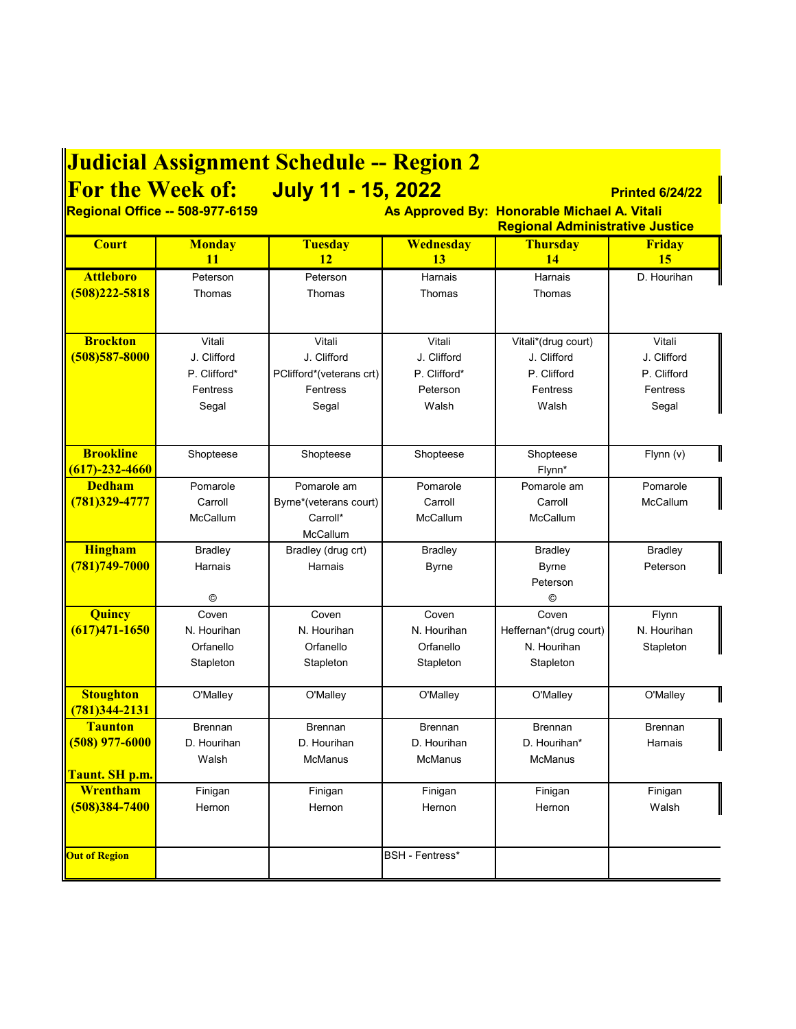| <b>For the Week of:</b><br><b>July 11 - 15, 2022</b><br><b>Printed 6/24/22</b><br>As Approved By: Honorable Michael A. Vitali<br><b>Regional Administrative Justice</b><br>Wednesday<br><b>Monday</b><br><b>Tuesday</b><br><b>Thursday</b><br><b>Court</b><br><b>Friday</b><br>11<br>12<br>13<br>14<br>15<br><b>Attleboro</b><br>D. Hourihan<br>Peterson<br>Harnais<br>Harnais<br>Peterson<br>$(508)222 - 5818$<br>Thomas<br>Thomas<br>Thomas<br>Thomas<br><b>Brockton</b><br>Vitali<br>Vitali<br>Vitali<br>Vitali*(drug court)<br>Vitali<br>$(508)$ 587-8000<br>J. Clifford<br>J. Clifford<br>J. Clifford<br>J. Clifford<br>J. Clifford<br>P. Clifford*<br>P. Clifford*<br>P. Clifford<br>P. Clifford<br>PClifford*(veterans crt)<br>Fentress<br>Fentress<br>Peterson<br>Fentress<br>Fentress<br>Walsh<br>Segal<br>Walsh<br>Segal<br>Segal<br><b>Brookline</b><br>Shopteese<br>Shopteese<br>Shopteese<br>Shopteese<br>Flynn (v)<br>$(617) - 232 - 4660$<br>Flynn*<br><b>Dedham</b><br>Pomarole<br>Pomarole<br>Pomarole<br>Pomarole am<br>Pomarole am<br>(781)329-4777<br>McCallum<br>Byrne*(veterans court)<br>Carroll<br>Carroll<br>Carroll<br><b>McCallum</b><br>Carroll*<br><b>McCallum</b><br><b>McCallum</b><br><b>McCallum</b><br><b>Hingham</b><br>Bradley (drug crt)<br><b>Bradley</b><br><b>Bradley</b><br><b>Bradley</b><br><b>Bradley</b><br>(781)749-7000<br>Peterson<br>Harnais<br>Harnais<br><b>Byrne</b><br><b>Byrne</b><br>Peterson<br>$^{\circ}$<br>◎<br><b>Quincy</b><br>Coven<br>Coven<br>Coven<br>Coven<br>Flynn<br>$(617)471 - 1650$<br>N. Hourihan<br>Heffernan*(drug court)<br>N. Hourihan<br>N. Hourihan<br>N. Hourihan<br>Orfanello<br>Orfanello<br>Orfanello<br>N. Hourihan<br>Stapleton<br>Stapleton<br>Stapleton<br>Stapleton<br>Stapleton<br><b>Stoughton</b><br>O'Malley<br>O'Malley<br>O'Malley<br>O'Malley<br>O'Malley<br>781)344-2131<br><b>Taunton</b><br><b>Brennan</b><br><b>Brennan</b><br><b>Brennan</b><br><b>Brennan</b><br><b>Brennan</b><br>D. Hourihan<br>D. Hourihan<br>D. Hourihan<br>D. Hourihan*<br>Harnais<br>Walsh<br>McManus<br><b>McManus</b><br><b>McManus</b><br>Taunt. SH p.m.<br>Wrentham<br>Finigan<br>Finigan<br>Finigan<br>Finigan<br>Finigan<br>$(508)384 - 7400$<br>Walsh<br>Hernon<br>Hernon<br>Hernon<br>Hernon<br><b>BSH</b> - Fentress*<br><b>Out of Region</b> | <b>Judicial Assignment Schedule -- Region 2</b> |  |  |  |  |  |  |
|----------------------------------------------------------------------------------------------------------------------------------------------------------------------------------------------------------------------------------------------------------------------------------------------------------------------------------------------------------------------------------------------------------------------------------------------------------------------------------------------------------------------------------------------------------------------------------------------------------------------------------------------------------------------------------------------------------------------------------------------------------------------------------------------------------------------------------------------------------------------------------------------------------------------------------------------------------------------------------------------------------------------------------------------------------------------------------------------------------------------------------------------------------------------------------------------------------------------------------------------------------------------------------------------------------------------------------------------------------------------------------------------------------------------------------------------------------------------------------------------------------------------------------------------------------------------------------------------------------------------------------------------------------------------------------------------------------------------------------------------------------------------------------------------------------------------------------------------------------------------------------------------------------------------------------------------------------------------------------------------------------------------------------------------------------------------------------------------------------------------------------------------------------------------------------------------------------------------------------------------------------------------------------------------------------------------------------|-------------------------------------------------|--|--|--|--|--|--|
|                                                                                                                                                                                                                                                                                                                                                                                                                                                                                                                                                                                                                                                                                                                                                                                                                                                                                                                                                                                                                                                                                                                                                                                                                                                                                                                                                                                                                                                                                                                                                                                                                                                                                                                                                                                                                                                                                                                                                                                                                                                                                                                                                                                                                                                                                                                                  |                                                 |  |  |  |  |  |  |
|                                                                                                                                                                                                                                                                                                                                                                                                                                                                                                                                                                                                                                                                                                                                                                                                                                                                                                                                                                                                                                                                                                                                                                                                                                                                                                                                                                                                                                                                                                                                                                                                                                                                                                                                                                                                                                                                                                                                                                                                                                                                                                                                                                                                                                                                                                                                  | <b>Regional Office -- 508-977-6159</b>          |  |  |  |  |  |  |
|                                                                                                                                                                                                                                                                                                                                                                                                                                                                                                                                                                                                                                                                                                                                                                                                                                                                                                                                                                                                                                                                                                                                                                                                                                                                                                                                                                                                                                                                                                                                                                                                                                                                                                                                                                                                                                                                                                                                                                                                                                                                                                                                                                                                                                                                                                                                  |                                                 |  |  |  |  |  |  |
|                                                                                                                                                                                                                                                                                                                                                                                                                                                                                                                                                                                                                                                                                                                                                                                                                                                                                                                                                                                                                                                                                                                                                                                                                                                                                                                                                                                                                                                                                                                                                                                                                                                                                                                                                                                                                                                                                                                                                                                                                                                                                                                                                                                                                                                                                                                                  |                                                 |  |  |  |  |  |  |
|                                                                                                                                                                                                                                                                                                                                                                                                                                                                                                                                                                                                                                                                                                                                                                                                                                                                                                                                                                                                                                                                                                                                                                                                                                                                                                                                                                                                                                                                                                                                                                                                                                                                                                                                                                                                                                                                                                                                                                                                                                                                                                                                                                                                                                                                                                                                  |                                                 |  |  |  |  |  |  |
|                                                                                                                                                                                                                                                                                                                                                                                                                                                                                                                                                                                                                                                                                                                                                                                                                                                                                                                                                                                                                                                                                                                                                                                                                                                                                                                                                                                                                                                                                                                                                                                                                                                                                                                                                                                                                                                                                                                                                                                                                                                                                                                                                                                                                                                                                                                                  |                                                 |  |  |  |  |  |  |
|                                                                                                                                                                                                                                                                                                                                                                                                                                                                                                                                                                                                                                                                                                                                                                                                                                                                                                                                                                                                                                                                                                                                                                                                                                                                                                                                                                                                                                                                                                                                                                                                                                                                                                                                                                                                                                                                                                                                                                                                                                                                                                                                                                                                                                                                                                                                  |                                                 |  |  |  |  |  |  |
|                                                                                                                                                                                                                                                                                                                                                                                                                                                                                                                                                                                                                                                                                                                                                                                                                                                                                                                                                                                                                                                                                                                                                                                                                                                                                                                                                                                                                                                                                                                                                                                                                                                                                                                                                                                                                                                                                                                                                                                                                                                                                                                                                                                                                                                                                                                                  |                                                 |  |  |  |  |  |  |
|                                                                                                                                                                                                                                                                                                                                                                                                                                                                                                                                                                                                                                                                                                                                                                                                                                                                                                                                                                                                                                                                                                                                                                                                                                                                                                                                                                                                                                                                                                                                                                                                                                                                                                                                                                                                                                                                                                                                                                                                                                                                                                                                                                                                                                                                                                                                  |                                                 |  |  |  |  |  |  |
|                                                                                                                                                                                                                                                                                                                                                                                                                                                                                                                                                                                                                                                                                                                                                                                                                                                                                                                                                                                                                                                                                                                                                                                                                                                                                                                                                                                                                                                                                                                                                                                                                                                                                                                                                                                                                                                                                                                                                                                                                                                                                                                                                                                                                                                                                                                                  |                                                 |  |  |  |  |  |  |
|                                                                                                                                                                                                                                                                                                                                                                                                                                                                                                                                                                                                                                                                                                                                                                                                                                                                                                                                                                                                                                                                                                                                                                                                                                                                                                                                                                                                                                                                                                                                                                                                                                                                                                                                                                                                                                                                                                                                                                                                                                                                                                                                                                                                                                                                                                                                  |                                                 |  |  |  |  |  |  |
|                                                                                                                                                                                                                                                                                                                                                                                                                                                                                                                                                                                                                                                                                                                                                                                                                                                                                                                                                                                                                                                                                                                                                                                                                                                                                                                                                                                                                                                                                                                                                                                                                                                                                                                                                                                                                                                                                                                                                                                                                                                                                                                                                                                                                                                                                                                                  |                                                 |  |  |  |  |  |  |
|                                                                                                                                                                                                                                                                                                                                                                                                                                                                                                                                                                                                                                                                                                                                                                                                                                                                                                                                                                                                                                                                                                                                                                                                                                                                                                                                                                                                                                                                                                                                                                                                                                                                                                                                                                                                                                                                                                                                                                                                                                                                                                                                                                                                                                                                                                                                  |                                                 |  |  |  |  |  |  |
|                                                                                                                                                                                                                                                                                                                                                                                                                                                                                                                                                                                                                                                                                                                                                                                                                                                                                                                                                                                                                                                                                                                                                                                                                                                                                                                                                                                                                                                                                                                                                                                                                                                                                                                                                                                                                                                                                                                                                                                                                                                                                                                                                                                                                                                                                                                                  |                                                 |  |  |  |  |  |  |
|                                                                                                                                                                                                                                                                                                                                                                                                                                                                                                                                                                                                                                                                                                                                                                                                                                                                                                                                                                                                                                                                                                                                                                                                                                                                                                                                                                                                                                                                                                                                                                                                                                                                                                                                                                                                                                                                                                                                                                                                                                                                                                                                                                                                                                                                                                                                  |                                                 |  |  |  |  |  |  |
|                                                                                                                                                                                                                                                                                                                                                                                                                                                                                                                                                                                                                                                                                                                                                                                                                                                                                                                                                                                                                                                                                                                                                                                                                                                                                                                                                                                                                                                                                                                                                                                                                                                                                                                                                                                                                                                                                                                                                                                                                                                                                                                                                                                                                                                                                                                                  |                                                 |  |  |  |  |  |  |
|                                                                                                                                                                                                                                                                                                                                                                                                                                                                                                                                                                                                                                                                                                                                                                                                                                                                                                                                                                                                                                                                                                                                                                                                                                                                                                                                                                                                                                                                                                                                                                                                                                                                                                                                                                                                                                                                                                                                                                                                                                                                                                                                                                                                                                                                                                                                  |                                                 |  |  |  |  |  |  |
|                                                                                                                                                                                                                                                                                                                                                                                                                                                                                                                                                                                                                                                                                                                                                                                                                                                                                                                                                                                                                                                                                                                                                                                                                                                                                                                                                                                                                                                                                                                                                                                                                                                                                                                                                                                                                                                                                                                                                                                                                                                                                                                                                                                                                                                                                                                                  |                                                 |  |  |  |  |  |  |
|                                                                                                                                                                                                                                                                                                                                                                                                                                                                                                                                                                                                                                                                                                                                                                                                                                                                                                                                                                                                                                                                                                                                                                                                                                                                                                                                                                                                                                                                                                                                                                                                                                                                                                                                                                                                                                                                                                                                                                                                                                                                                                                                                                                                                                                                                                                                  |                                                 |  |  |  |  |  |  |
|                                                                                                                                                                                                                                                                                                                                                                                                                                                                                                                                                                                                                                                                                                                                                                                                                                                                                                                                                                                                                                                                                                                                                                                                                                                                                                                                                                                                                                                                                                                                                                                                                                                                                                                                                                                                                                                                                                                                                                                                                                                                                                                                                                                                                                                                                                                                  |                                                 |  |  |  |  |  |  |
|                                                                                                                                                                                                                                                                                                                                                                                                                                                                                                                                                                                                                                                                                                                                                                                                                                                                                                                                                                                                                                                                                                                                                                                                                                                                                                                                                                                                                                                                                                                                                                                                                                                                                                                                                                                                                                                                                                                                                                                                                                                                                                                                                                                                                                                                                                                                  |                                                 |  |  |  |  |  |  |
|                                                                                                                                                                                                                                                                                                                                                                                                                                                                                                                                                                                                                                                                                                                                                                                                                                                                                                                                                                                                                                                                                                                                                                                                                                                                                                                                                                                                                                                                                                                                                                                                                                                                                                                                                                                                                                                                                                                                                                                                                                                                                                                                                                                                                                                                                                                                  |                                                 |  |  |  |  |  |  |
|                                                                                                                                                                                                                                                                                                                                                                                                                                                                                                                                                                                                                                                                                                                                                                                                                                                                                                                                                                                                                                                                                                                                                                                                                                                                                                                                                                                                                                                                                                                                                                                                                                                                                                                                                                                                                                                                                                                                                                                                                                                                                                                                                                                                                                                                                                                                  |                                                 |  |  |  |  |  |  |
|                                                                                                                                                                                                                                                                                                                                                                                                                                                                                                                                                                                                                                                                                                                                                                                                                                                                                                                                                                                                                                                                                                                                                                                                                                                                                                                                                                                                                                                                                                                                                                                                                                                                                                                                                                                                                                                                                                                                                                                                                                                                                                                                                                                                                                                                                                                                  |                                                 |  |  |  |  |  |  |
|                                                                                                                                                                                                                                                                                                                                                                                                                                                                                                                                                                                                                                                                                                                                                                                                                                                                                                                                                                                                                                                                                                                                                                                                                                                                                                                                                                                                                                                                                                                                                                                                                                                                                                                                                                                                                                                                                                                                                                                                                                                                                                                                                                                                                                                                                                                                  |                                                 |  |  |  |  |  |  |
|                                                                                                                                                                                                                                                                                                                                                                                                                                                                                                                                                                                                                                                                                                                                                                                                                                                                                                                                                                                                                                                                                                                                                                                                                                                                                                                                                                                                                                                                                                                                                                                                                                                                                                                                                                                                                                                                                                                                                                                                                                                                                                                                                                                                                                                                                                                                  |                                                 |  |  |  |  |  |  |
|                                                                                                                                                                                                                                                                                                                                                                                                                                                                                                                                                                                                                                                                                                                                                                                                                                                                                                                                                                                                                                                                                                                                                                                                                                                                                                                                                                                                                                                                                                                                                                                                                                                                                                                                                                                                                                                                                                                                                                                                                                                                                                                                                                                                                                                                                                                                  |                                                 |  |  |  |  |  |  |
|                                                                                                                                                                                                                                                                                                                                                                                                                                                                                                                                                                                                                                                                                                                                                                                                                                                                                                                                                                                                                                                                                                                                                                                                                                                                                                                                                                                                                                                                                                                                                                                                                                                                                                                                                                                                                                                                                                                                                                                                                                                                                                                                                                                                                                                                                                                                  |                                                 |  |  |  |  |  |  |
|                                                                                                                                                                                                                                                                                                                                                                                                                                                                                                                                                                                                                                                                                                                                                                                                                                                                                                                                                                                                                                                                                                                                                                                                                                                                                                                                                                                                                                                                                                                                                                                                                                                                                                                                                                                                                                                                                                                                                                                                                                                                                                                                                                                                                                                                                                                                  |                                                 |  |  |  |  |  |  |
|                                                                                                                                                                                                                                                                                                                                                                                                                                                                                                                                                                                                                                                                                                                                                                                                                                                                                                                                                                                                                                                                                                                                                                                                                                                                                                                                                                                                                                                                                                                                                                                                                                                                                                                                                                                                                                                                                                                                                                                                                                                                                                                                                                                                                                                                                                                                  |                                                 |  |  |  |  |  |  |
|                                                                                                                                                                                                                                                                                                                                                                                                                                                                                                                                                                                                                                                                                                                                                                                                                                                                                                                                                                                                                                                                                                                                                                                                                                                                                                                                                                                                                                                                                                                                                                                                                                                                                                                                                                                                                                                                                                                                                                                                                                                                                                                                                                                                                                                                                                                                  |                                                 |  |  |  |  |  |  |
|                                                                                                                                                                                                                                                                                                                                                                                                                                                                                                                                                                                                                                                                                                                                                                                                                                                                                                                                                                                                                                                                                                                                                                                                                                                                                                                                                                                                                                                                                                                                                                                                                                                                                                                                                                                                                                                                                                                                                                                                                                                                                                                                                                                                                                                                                                                                  | $\left  \frac{(508) 977 - 6000}{\right }$       |  |  |  |  |  |  |
|                                                                                                                                                                                                                                                                                                                                                                                                                                                                                                                                                                                                                                                                                                                                                                                                                                                                                                                                                                                                                                                                                                                                                                                                                                                                                                                                                                                                                                                                                                                                                                                                                                                                                                                                                                                                                                                                                                                                                                                                                                                                                                                                                                                                                                                                                                                                  |                                                 |  |  |  |  |  |  |
|                                                                                                                                                                                                                                                                                                                                                                                                                                                                                                                                                                                                                                                                                                                                                                                                                                                                                                                                                                                                                                                                                                                                                                                                                                                                                                                                                                                                                                                                                                                                                                                                                                                                                                                                                                                                                                                                                                                                                                                                                                                                                                                                                                                                                                                                                                                                  |                                                 |  |  |  |  |  |  |
|                                                                                                                                                                                                                                                                                                                                                                                                                                                                                                                                                                                                                                                                                                                                                                                                                                                                                                                                                                                                                                                                                                                                                                                                                                                                                                                                                                                                                                                                                                                                                                                                                                                                                                                                                                                                                                                                                                                                                                                                                                                                                                                                                                                                                                                                                                                                  |                                                 |  |  |  |  |  |  |
|                                                                                                                                                                                                                                                                                                                                                                                                                                                                                                                                                                                                                                                                                                                                                                                                                                                                                                                                                                                                                                                                                                                                                                                                                                                                                                                                                                                                                                                                                                                                                                                                                                                                                                                                                                                                                                                                                                                                                                                                                                                                                                                                                                                                                                                                                                                                  |                                                 |  |  |  |  |  |  |
|                                                                                                                                                                                                                                                                                                                                                                                                                                                                                                                                                                                                                                                                                                                                                                                                                                                                                                                                                                                                                                                                                                                                                                                                                                                                                                                                                                                                                                                                                                                                                                                                                                                                                                                                                                                                                                                                                                                                                                                                                                                                                                                                                                                                                                                                                                                                  |                                                 |  |  |  |  |  |  |
|                                                                                                                                                                                                                                                                                                                                                                                                                                                                                                                                                                                                                                                                                                                                                                                                                                                                                                                                                                                                                                                                                                                                                                                                                                                                                                                                                                                                                                                                                                                                                                                                                                                                                                                                                                                                                                                                                                                                                                                                                                                                                                                                                                                                                                                                                                                                  |                                                 |  |  |  |  |  |  |
|                                                                                                                                                                                                                                                                                                                                                                                                                                                                                                                                                                                                                                                                                                                                                                                                                                                                                                                                                                                                                                                                                                                                                                                                                                                                                                                                                                                                                                                                                                                                                                                                                                                                                                                                                                                                                                                                                                                                                                                                                                                                                                                                                                                                                                                                                                                                  |                                                 |  |  |  |  |  |  |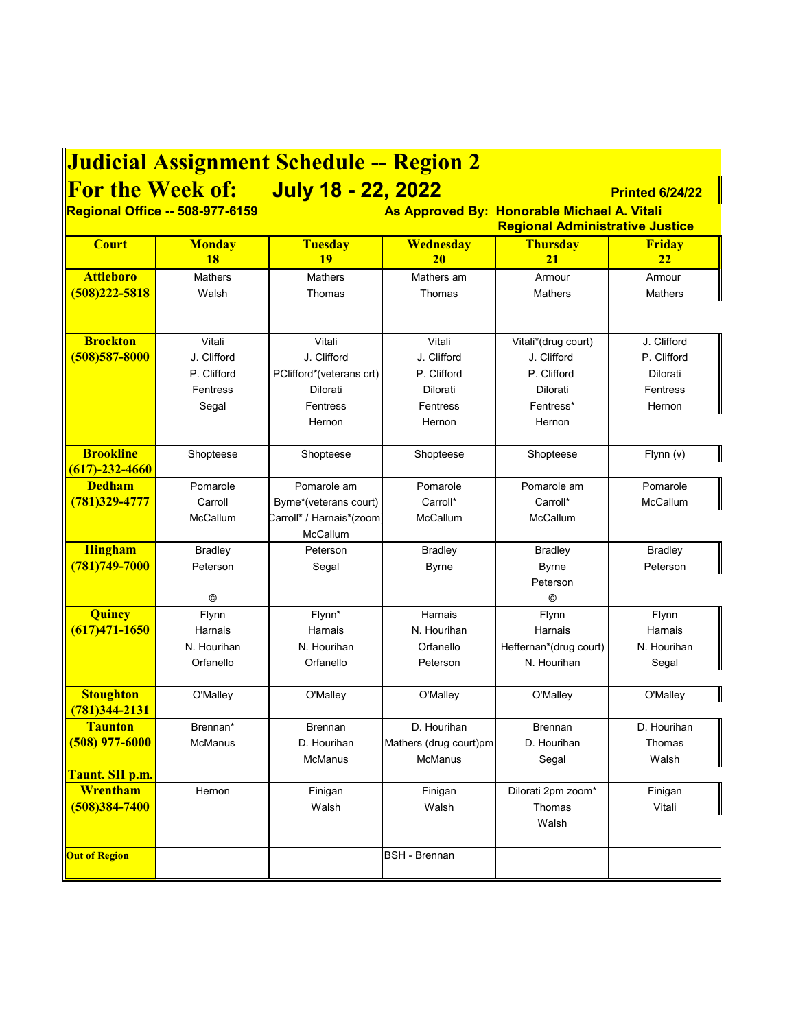## **Judicial Assignment Schedule -- Region 2**

**For the Week of: July 18 - 22, 2022 Printed 6/24/22**

**Regional Office -- 508-977-6159 As Approved By: Honorable Michael A. Vitali Regional Administrative Justice**

| <b>Court</b>                | <b>Monday</b>  | <b>Tuesday</b>           | <b>Wednesday</b>       | <b>Thursday</b>        | Friday         |
|-----------------------------|----------------|--------------------------|------------------------|------------------------|----------------|
|                             | 18             | 19                       | <b>20</b>              | 21                     | 22             |
| <b>Attleboro</b>            | <b>Mathers</b> | <b>Mathers</b>           | Mathers am             | Armour                 | Armour         |
| $(508)222 - 5818$           | Walsh          | Thomas                   | Thomas                 | <b>Mathers</b>         | <b>Mathers</b> |
|                             |                |                          |                        |                        |                |
| <b>Brockton</b>             | Vitali         | Vitali                   | Vitali                 | Vitali*(drug court)    | J. Clifford    |
| $(508)587 - 8000$           | J. Clifford    | J. Clifford              | J. Clifford            | J. Clifford            | P. Clifford    |
|                             | P. Clifford    | PClifford*(veterans crt) | P. Clifford            | P. Clifford            | Dilorati       |
|                             | Fentress       | Dilorati                 | Dilorati               | Dilorati               | Fentress       |
|                             | Segal          | Fentress                 | Fentress               | Fentress*              | Hernon         |
|                             |                | Hernon                   | Hernon                 | Hernon                 |                |
|                             |                |                          |                        |                        |                |
| <b>Brookline</b>            | Shopteese      | Shopteese                | Shopteese              | Shopteese              | Flynn (v)      |
| $(617) - 232 - 4660$        |                |                          |                        |                        |                |
| <b>Dedham</b>               | Pomarole       | Pomarole am              | Pomarole               | Pomarole am            | Pomarole       |
| (781)329-4777               | Carroll        | Byrne*(veterans court)   | Carroll*               | Carroll*               | McCallum       |
|                             | McCallum       | Carroll* / Harnais*(zoom | McCallum               | McCallum               |                |
|                             |                | McCallum                 |                        |                        |                |
| <b>Hingham</b>              | <b>Bradley</b> | Peterson                 | <b>Bradley</b>         | Bradley                | Bradley        |
| $(781)749 - 7000$           | Peterson       | Segal                    | <b>Byrne</b>           | <b>Byrne</b>           | Peterson       |
|                             |                |                          |                        | Peterson               |                |
|                             | ©              |                          |                        | ©                      |                |
| <b>Quincy</b>               | Flynn          | Flynn*                   | Harnais                | Flynn                  | Flynn          |
| $(617)471 - 1650$           | Harnais        | Harnais                  | N. Hourihan            | Harnais                | Harnais        |
|                             | N. Hourihan    | N. Hourihan              | Orfanello              | Heffernan*(drug court) | N. Hourihan    |
|                             | Orfanello      | Orfanello                | Peterson               | N. Hourihan            | Segal          |
| <b>Stoughton</b>            | O'Malley       | O'Malley                 | O'Malley               | O'Malley               | O'Malley       |
| (781)344-2131               |                |                          |                        |                        |                |
| <b>Taunton</b>              | Brennan*       | <b>Brennan</b>           | D. Hourihan            | <b>Brennan</b>         | D. Hourihan    |
| $(508)$ 977-6000            | <b>McManus</b> | D. Hourihan              | Mathers (drug court)pm | D. Hourihan            | Thomas         |
|                             |                | <b>McManus</b>           | <b>McManus</b>         | Segal                  | Walsh          |
| <mark>Taunt. SH p.m.</mark> |                |                          |                        |                        |                |
| Wrentham                    | Hernon         | Finigan                  | Finigan                | Dilorati 2pm zoom*     | Finigan        |
| $(508)384 - 7400$           |                | Walsh                    | Walsh                  | Thomas                 | Vitali         |
|                             |                |                          |                        | Walsh                  |                |
| <b>Out of Region</b>        |                |                          | <b>BSH</b> - Brennan   |                        |                |
|                             |                |                          |                        |                        |                |